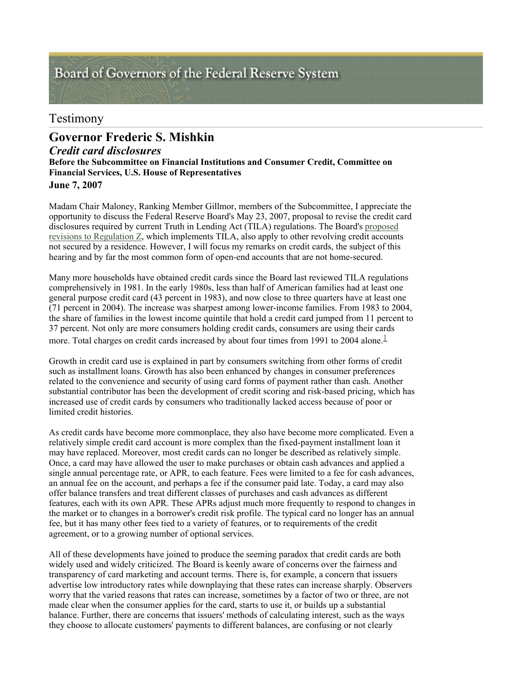# Board of Governors of the Federal Reserve System

# Testimony

# *Credit card disclosures* **Before the Subcommittee on Financial Institutions and Consumer Credit, Committee on Financial Services, U.S. House of Representatives June 7, 2007 Governor Frederic S. Mishkin**

Madam Chair Maloney, Ranking Member Gillmor, members of the Subcommittee, I appreciate the opportunity to discuss the Federal Reserve Board's May 23, 2007, proposal to revise the credit card disclosures required by current Truth in Lending Act (TILA) regulations. The Board's proposed revisions to Regulation Z, which implements TILA, also apply to other revolving credit accounts not secured by a residence. However, I will focus my remarks on credit cards, the subject of this hearing and by far the most common form of open-end accounts that are not home-secured.

Many more households have obtained credit cards since the Board last reviewed TILA regulations comprehensively in 1981. In the early 1980s, less than half of American families had at least one general purpose credit card (43 percent in 1983), and now close to three quarters have at least one (71 percent in 2004). The increase was sharpest among lower-income families. From 1983 to 2004, the share of families in the lowest income quintile that hold a credit card jumped from 11 percent to 37 percent. Not only are more consumers holding credit cards, consumers are using their cards more. Total charges on credit cards increased by about four times from 1991 to 2004 alone.

Growth in credit card use is explained in part by consumers switching from other forms of credit such as installment loans. Growth has also been enhanced by changes in consumer preferences related to the convenience and security of using card forms of payment rather than cash. Another substantial contributor has been the development of credit scoring and risk-based pricing, which has increased use of credit cards by consumers who traditionally lacked access because of poor or limited credit histories.

As credit cards have become more commonplace, they also have become more complicated. Even a relatively simple credit card account is more complex than the fixed-payment installment loan it may have replaced. Moreover, most credit cards can no longer be described as relatively simple. Once, a card may have allowed the user to make purchases or obtain cash advances and applied a single annual percentage rate, or APR, to each feature. Fees were limited to a fee for cash advances, an annual fee on the account, and perhaps a fee if the consumer paid late. Today, a card may also offer balance transfers and treat different classes of purchases and cash advances as different features, each with its own APR. These APRs adjust much more frequently to respond to changes in the market or to changes in a borrower's credit risk profile. The typical card no longer has an annual fee, but it has many other fees tied to a variety of features, or to requirements of the credit agreement, or to a growing number of optional services.

All of these developments have joined to produce the seeming paradox that credit cards are both widely used and widely criticized. The Board is keenly aware of concerns over the fairness and transparency of card marketing and account terms. There is, for example, a concern that issuers advertise low introductory rates while downplaying that these rates can increase sharply. Observers worry that the varied reasons that rates can increase, sometimes by a factor of two or three, are not made clear when the consumer applies for the card, starts to use it, or builds up a substantial balance. Further, there are concerns that issuers' methods of calculating interest, such as the ways they choose to allocate customers' payments to different balances, are confusing or not clearly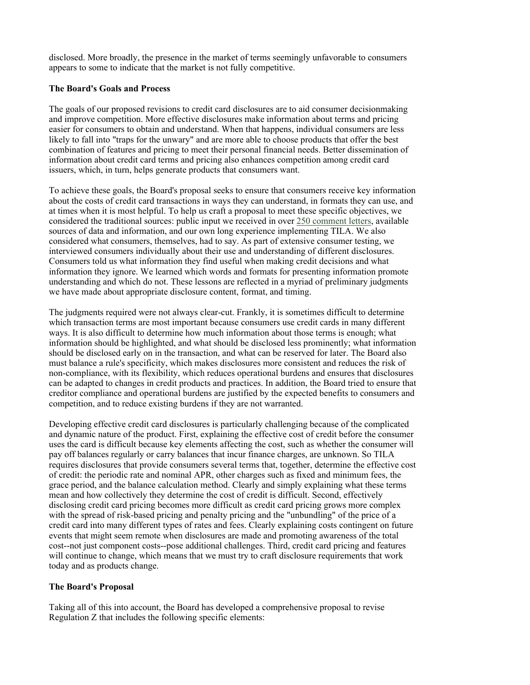disclosed. More broadly, the presence in the market of terms seemingly unfavorable to consumers appears to some to indicate that the market is not fully competitive.

#### **The Board's Goals and Process**

The goals of our proposed revisions to credit card disclosures are to aid consumer decisionmaking and improve competition. More effective disclosures make information about terms and pricing easier for consumers to obtain and understand. When that happens, individual consumers are less likely to fall into "traps for the unwary" and are more able to choose products that offer the best combination of features and pricing to meet their personal financial needs. Better dissemination of information about credit card terms and pricing also enhances competition among credit card issuers, which, in turn, helps generate products that consumers want.

To achieve these goals, the Board's proposal seeks to ensure that consumers receive key information about the costs of credit card transactions in ways they can understand, in formats they can use, and at times when it is most helpful. To help us craft a proposal to meet these specific objectives, we considered the traditional sources: public input we received in over 250 comment letters, available sources of data and information, and our own long experience implementing TILA. We also considered what consumers, themselves, had to say. As part of extensive consumer testing, we interviewed consumers individually about their use and understanding of different disclosures. Consumers told us what information they find useful when making credit decisions and what information they ignore. We learned which words and formats for presenting information promote understanding and which do not. These lessons are reflected in a myriad of preliminary judgments we have made about appropriate disclosure content, format, and timing.

The judgments required were not always clear-cut. Frankly, it is sometimes difficult to determine which transaction terms are most important because consumers use credit cards in many different ways. It is also difficult to determine how much information about those terms is enough; what information should be highlighted, and what should be disclosed less prominently; what information should be disclosed early on in the transaction, and what can be reserved for later. The Board also must balance a rule's specificity, which makes disclosures more consistent and reduces the risk of non-compliance, with its flexibility, which reduces operational burdens and ensures that disclosures can be adapted to changes in credit products and practices. In addition, the Board tried to ensure that creditor compliance and operational burdens are justified by the expected benefits to consumers and competition, and to reduce existing burdens if they are not warranted.

Developing effective credit card disclosures is particularly challenging because of the complicated and dynamic nature of the product. First, explaining the effective cost of credit before the consumer uses the card is difficult because key elements affecting the cost, such as whether the consumer will pay off balances regularly or carry balances that incur finance charges, are unknown. So TILA requires disclosures that provide consumers several terms that, together, determine the effective cost of credit: the periodic rate and nominal APR, other charges such as fixed and minimum fees, the grace period, and the balance calculation method. Clearly and simply explaining what these terms mean and how collectively they determine the cost of credit is difficult. Second, effectively disclosing credit card pricing becomes more difficult as credit card pricing grows more complex with the spread of risk-based pricing and penalty pricing and the "unbundling" of the price of a credit card into many different types of rates and fees. Clearly explaining costs contingent on future events that might seem remote when disclosures are made and promoting awareness of the total cost--not just component costs--pose additional challenges. Third, credit card pricing and features will continue to change, which means that we must try to craft disclosure requirements that work today and as products change.

#### **The Board's Proposal**

Taking all of this into account, the Board has developed a comprehensive proposal to revise Regulation Z that includes the following specific elements: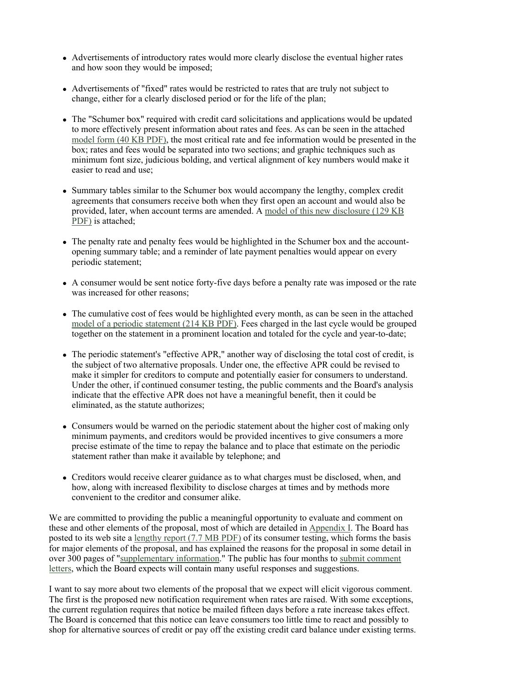- Advertisements of introductory rates would more clearly disclose the eventual higher rates and how soon they would be imposed;
- Advertisements of "fixed" rates would be restricted to rates that are truly not subject to change, either for a clearly disclosed period or for the life of the plan;
- The "Schumer box" required with credit card solicitations and applications would be updated to more effectively present information about rates and fees. As can be seen in the attached model form (40 KB PDF), the most critical rate and fee information would be presented in the box; rates and fees would be separated into two sections; and graphic techniques such as minimum font size, judicious bolding, and vertical alignment of key numbers would make it easier to read and use;
- Summary tables similar to the Schumer box would accompany the lengthy, complex credit agreements that consumers receive both when they first open an account and would also be provided, later, when account terms are amended. A model of this new disclosure (129 KB PDF) is attached;
- The penalty rate and penalty fees would be highlighted in the Schumer box and the accountopening summary table; and a reminder of late payment penalties would appear on every periodic statement;
- A consumer would be sent notice forty-five days before a penalty rate was imposed or the rate was increased for other reasons;
- The cumulative cost of fees would be highlighted every month, as can be seen in the attached model of a periodic statement (214 KB PDF). Fees charged in the last cycle would be grouped together on the statement in a prominent location and totaled for the cycle and year-to-date;
- The periodic statement's "effective APR," another way of disclosing the total cost of credit, is the subject of two alternative proposals. Under one, the effective APR could be revised to make it simpler for creditors to compute and potentially easier for consumers to understand. Under the other, if continued consumer testing, the public comments and the Board's analysis indicate that the effective APR does not have a meaningful benefit, then it could be eliminated, as the statute authorizes;
- Consumers would be warned on the periodic statement about the higher cost of making only minimum payments, and creditors would be provided incentives to give consumers a more precise estimate of the time to repay the balance and to place that estimate on the periodic statement rather than make it available by telephone; and
- Creditors would receive clearer guidance as to what charges must be disclosed, when, and how, along with increased flexibility to disclose charges at times and by methods more convenient to the creditor and consumer alike.

We are committed to providing the public a meaningful opportunity to evaluate and comment on these and other elements of the proposal, most of which are detailed in Appendix I. The Board has posted to its web site a lengthy report (7.7 MB PDF) of its consumer testing, which forms the basis for major elements of the proposal, and has explained the reasons for the proposal in some detail in over 300 pages of "supplementary information." The public has four months to submit comment letters, which the Board expects will contain many useful responses and suggestions.

I want to say more about two elements of the proposal that we expect will elicit vigorous comment. The first is the proposed new notification requirement when rates are raised. With some exceptions, the current regulation requires that notice be mailed fifteen days before a rate increase takes effect. The Board is concerned that this notice can leave consumers too little time to react and possibly to shop for alternative sources of credit or pay off the existing credit card balance under existing terms.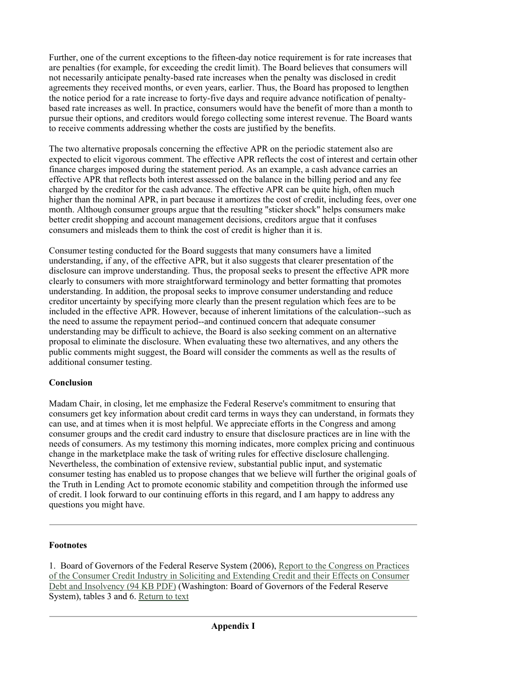Further, one of the current exceptions to the fifteen-day notice requirement is for rate increases that are penalties (for example, for exceeding the credit limit). The Board believes that consumers will not necessarily anticipate penalty-based rate increases when the penalty was disclosed in credit agreements they received months, or even years, earlier. Thus, the Board has proposed to lengthen the notice period for a rate increase to forty-five days and require advance notification of penaltybased rate increases as well. In practice, consumers would have the benefit of more than a month to pursue their options, and creditors would forego collecting some interest revenue. The Board wants to receive comments addressing whether the costs are justified by the benefits.

The two alternative proposals concerning the effective APR on the periodic statement also are expected to elicit vigorous comment. The effective APR reflects the cost of interest and certain other finance charges imposed during the statement period. As an example, a cash advance carries an effective APR that reflects both interest assessed on the balance in the billing period and any fee charged by the creditor for the cash advance. The effective APR can be quite high, often much higher than the nominal APR, in part because it amortizes the cost of credit, including fees, over one month. Although consumer groups argue that the resulting "sticker shock" helps consumers make better credit shopping and account management decisions, creditors argue that it confuses consumers and misleads them to think the cost of credit is higher than it is.

Consumer testing conducted for the Board suggests that many consumers have a limited understanding, if any, of the effective APR, but it also suggests that clearer presentation of the disclosure can improve understanding. Thus, the proposal seeks to present the effective APR more clearly to consumers with more straightforward terminology and better formatting that promotes understanding. In addition, the proposal seeks to improve consumer understanding and reduce creditor uncertainty by specifying more clearly than the present regulation which fees are to be included in the effective APR. However, because of inherent limitations of the calculation--such as the need to assume the repayment period--and continued concern that adequate consumer understanding may be difficult to achieve, the Board is also seeking comment on an alternative proposal to eliminate the disclosure. When evaluating these two alternatives, and any others the public comments might suggest, the Board will consider the comments as well as the results of additional consumer testing.

# **Conclusion**

Madam Chair, in closing, let me emphasize the Federal Reserve's commitment to ensuring that consumers get key information about credit card terms in ways they can understand, in formats they can use, and at times when it is most helpful. We appreciate efforts in the Congress and among consumer groups and the credit card industry to ensure that disclosure practices are in line with the needs of consumers. As my testimony this morning indicates, more complex pricing and continuous change in the marketplace make the task of writing rules for effective disclosure challenging. Nevertheless, the combination of extensive review, substantial public input, and systematic consumer testing has enabled us to propose changes that we believe will further the original goals of the Truth in Lending Act to promote economic stability and competition through the informed use of credit. I look forward to our continuing efforts in this regard, and I am happy to address any questions you might have.

# **Footnotes**

1. Board of Governors of the Federal Reserve System (2006), Report to the Congress on Practices of the Consumer Credit Industry in Soliciting and Extending Credit and their Effects on Consumer Debt and Insolvency (94 KB PDF) (Washington: Board of Governors of the Federal Reserve System), tables 3 and 6. Return to text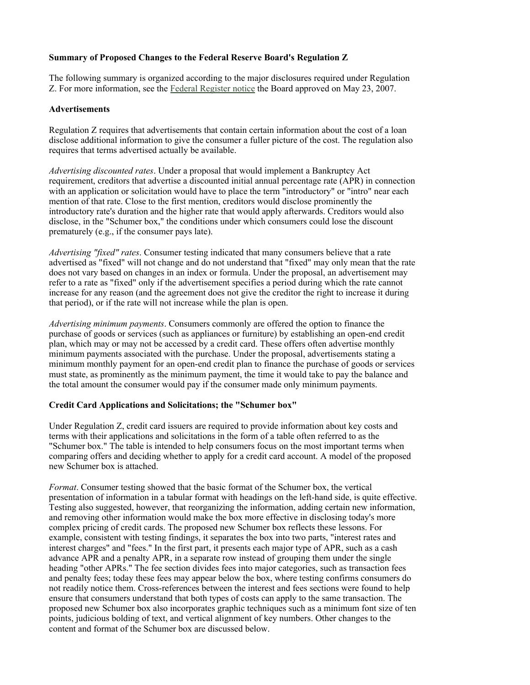## **Summary of Proposed Changes to the Federal Reserve Board's Regulation Z**

The following summary is organized according to the major disclosures required under Regulation Z. For more information, see the Federal Register notice the Board approved on May 23, 2007.

#### **Advertisements**

Regulation Z requires that advertisements that contain certain information about the cost of a loan disclose additional information to give the consumer a fuller picture of the cost. The regulation also requires that terms advertised actually be available.

*Advertising discounted rates*. Under a proposal that would implement a Bankruptcy Act requirement, creditors that advertise a discounted initial annual percentage rate (APR) in connection with an application or solicitation would have to place the term "introductory" or "intro" near each mention of that rate. Close to the first mention, creditors would disclose prominently the introductory rate's duration and the higher rate that would apply afterwards. Creditors would also disclose, in the "Schumer box," the conditions under which consumers could lose the discount prematurely (e.g., if the consumer pays late).

*Advertising "fixed" rates*. Consumer testing indicated that many consumers believe that a rate advertised as "fixed" will not change and do not understand that "fixed" may only mean that the rate does not vary based on changes in an index or formula. Under the proposal, an advertisement may refer to a rate as "fixed" only if the advertisement specifies a period during which the rate cannot increase for any reason (and the agreement does not give the creditor the right to increase it during that period), or if the rate will not increase while the plan is open.

*Advertising minimum payments*. Consumers commonly are offered the option to finance the purchase of goods or services (such as appliances or furniture) by establishing an open-end credit plan, which may or may not be accessed by a credit card. These offers often advertise monthly minimum payments associated with the purchase. Under the proposal, advertisements stating a minimum monthly payment for an open-end credit plan to finance the purchase of goods or services must state, as prominently as the minimum payment, the time it would take to pay the balance and the total amount the consumer would pay if the consumer made only minimum payments.

# **Credit Card Applications and Solicitations; the "Schumer box"**

Under Regulation Z, credit card issuers are required to provide information about key costs and terms with their applications and solicitations in the form of a table often referred to as the "Schumer box." The table is intended to help consumers focus on the most important terms when comparing offers and deciding whether to apply for a credit card account. A model of the proposed new Schumer box is attached.

*Format*. Consumer testing showed that the basic format of the Schumer box, the vertical presentation of information in a tabular format with headings on the left-hand side, is quite effective. Testing also suggested, however, that reorganizing the information, adding certain new information, and removing other information would make the box more effective in disclosing today's more complex pricing of credit cards. The proposed new Schumer box reflects these lessons. For example, consistent with testing findings, it separates the box into two parts, "interest rates and interest charges" and "fees." In the first part, it presents each major type of APR, such as a cash advance APR and a penalty APR, in a separate row instead of grouping them under the single heading "other APRs." The fee section divides fees into major categories, such as transaction fees and penalty fees; today these fees may appear below the box, where testing confirms consumers do not readily notice them. Cross-references between the interest and fees sections were found to help ensure that consumers understand that both types of costs can apply to the same transaction. The proposed new Schumer box also incorporates graphic techniques such as a minimum font size of ten points, judicious bolding of text, and vertical alignment of key numbers. Other changes to the content and format of the Schumer box are discussed below.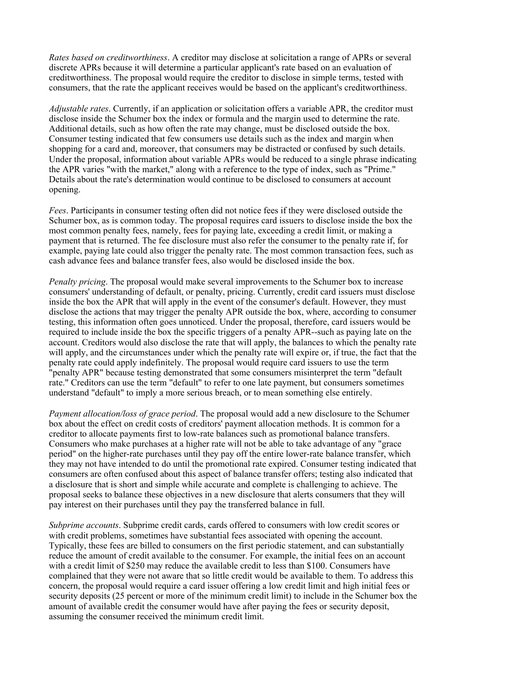*Rates based on creditworthiness*. A creditor may disclose at solicitation a range of APRs or several discrete APRs because it will determine a particular applicant's rate based on an evaluation of creditworthiness. The proposal would require the creditor to disclose in simple terms, tested with consumers, that the rate the applicant receives would be based on the applicant's creditworthiness.

*Adjustable rates*. Currently, if an application or solicitation offers a variable APR, the creditor must disclose inside the Schumer box the index or formula and the margin used to determine the rate. Additional details, such as how often the rate may change, must be disclosed outside the box. Consumer testing indicated that few consumers use details such as the index and margin when shopping for a card and, moreover, that consumers may be distracted or confused by such details. Under the proposal, information about variable APRs would be reduced to a single phrase indicating the APR varies "with the market," along with a reference to the type of index, such as "Prime." Details about the rate's determination would continue to be disclosed to consumers at account opening.

*Fees*. Participants in consumer testing often did not notice fees if they were disclosed outside the Schumer box, as is common today. The proposal requires card issuers to disclose inside the box the most common penalty fees, namely, fees for paying late, exceeding a credit limit, or making a payment that is returned. The fee disclosure must also refer the consumer to the penalty rate if, for example, paying late could also trigger the penalty rate. The most common transaction fees, such as cash advance fees and balance transfer fees, also would be disclosed inside the box.

*Penalty pricing*. The proposal would make several improvements to the Schumer box to increase consumers' understanding of default, or penalty, pricing. Currently, credit card issuers must disclose inside the box the APR that will apply in the event of the consumer's default. However, they must disclose the actions that may trigger the penalty APR outside the box, where, according to consumer testing, this information often goes unnoticed. Under the proposal, therefore, card issuers would be required to include inside the box the specific triggers of a penalty APR--such as paying late on the account. Creditors would also disclose the rate that will apply, the balances to which the penalty rate will apply, and the circumstances under which the penalty rate will expire or, if true, the fact that the penalty rate could apply indefinitely. The proposal would require card issuers to use the term "penalty APR" because testing demonstrated that some consumers misinterpret the term "default rate." Creditors can use the term "default" to refer to one late payment, but consumers sometimes understand "default" to imply a more serious breach, or to mean something else entirely.

*Payment allocation/loss of grace period*. The proposal would add a new disclosure to the Schumer box about the effect on credit costs of creditors' payment allocation methods. It is common for a creditor to allocate payments first to low-rate balances such as promotional balance transfers. Consumers who make purchases at a higher rate will not be able to take advantage of any "grace period" on the higher-rate purchases until they pay off the entire lower-rate balance transfer, which they may not have intended to do until the promotional rate expired. Consumer testing indicated that consumers are often confused about this aspect of balance transfer offers; testing also indicated that a disclosure that is short and simple while accurate and complete is challenging to achieve. The proposal seeks to balance these objectives in a new disclosure that alerts consumers that they will pay interest on their purchases until they pay the transferred balance in full.

*Subprime accounts*. Subprime credit cards, cards offered to consumers with low credit scores or with credit problems, sometimes have substantial fees associated with opening the account. Typically, these fees are billed to consumers on the first periodic statement, and can substantially reduce the amount of credit available to the consumer. For example, the initial fees on an account with a credit limit of \$250 may reduce the available credit to less than \$100. Consumers have complained that they were not aware that so little credit would be available to them. To address this concern, the proposal would require a card issuer offering a low credit limit and high initial fees or security deposits (25 percent or more of the minimum credit limit) to include in the Schumer box the amount of available credit the consumer would have after paying the fees or security deposit, assuming the consumer received the minimum credit limit.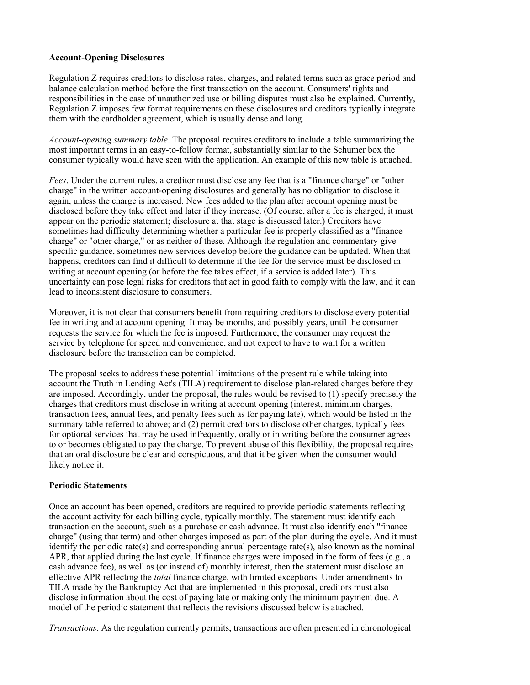### **Account-Opening Disclosures**

Regulation Z requires creditors to disclose rates, charges, and related terms such as grace period and balance calculation method before the first transaction on the account. Consumers' rights and responsibilities in the case of unauthorized use or billing disputes must also be explained. Currently, Regulation Z imposes few format requirements on these disclosures and creditors typically integrate them with the cardholder agreement, which is usually dense and long.

*Account-opening summary table*. The proposal requires creditors to include a table summarizing the most important terms in an easy-to-follow format, substantially similar to the Schumer box the consumer typically would have seen with the application. An example of this new table is attached.

*Fees*. Under the current rules, a creditor must disclose any fee that is a "finance charge" or "other charge" in the written account-opening disclosures and generally has no obligation to disclose it again, unless the charge is increased. New fees added to the plan after account opening must be disclosed before they take effect and later if they increase. (Of course, after a fee is charged, it must appear on the periodic statement; disclosure at that stage is discussed later.) Creditors have sometimes had difficulty determining whether a particular fee is properly classified as a "finance charge" or "other charge," or as neither of these. Although the regulation and commentary give specific guidance, sometimes new services develop before the guidance can be updated. When that happens, creditors can find it difficult to determine if the fee for the service must be disclosed in writing at account opening (or before the fee takes effect, if a service is added later). This uncertainty can pose legal risks for creditors that act in good faith to comply with the law, and it can lead to inconsistent disclosure to consumers.

Moreover, it is not clear that consumers benefit from requiring creditors to disclose every potential fee in writing and at account opening. It may be months, and possibly years, until the consumer requests the service for which the fee is imposed. Furthermore, the consumer may request the service by telephone for speed and convenience, and not expect to have to wait for a written disclosure before the transaction can be completed.

The proposal seeks to address these potential limitations of the present rule while taking into account the Truth in Lending Act's (TILA) requirement to disclose plan-related charges before they are imposed. Accordingly, under the proposal, the rules would be revised to (1) specify precisely the charges that creditors must disclose in writing at account opening (interest, minimum charges, transaction fees, annual fees, and penalty fees such as for paying late), which would be listed in the summary table referred to above; and (2) permit creditors to disclose other charges, typically fees for optional services that may be used infrequently, orally or in writing before the consumer agrees to or becomes obligated to pay the charge. To prevent abuse of this flexibility, the proposal requires that an oral disclosure be clear and conspicuous, and that it be given when the consumer would likely notice it.

#### **Periodic Statements**

Once an account has been opened, creditors are required to provide periodic statements reflecting the account activity for each billing cycle, typically monthly. The statement must identify each transaction on the account, such as a purchase or cash advance. It must also identify each "finance charge" (using that term) and other charges imposed as part of the plan during the cycle. And it must identify the periodic rate(s) and corresponding annual percentage rate(s), also known as the nominal APR, that applied during the last cycle. If finance charges were imposed in the form of fees (e.g., a cash advance fee), as well as (or instead of) monthly interest, then the statement must disclose an effective APR reflecting the *total* finance charge, with limited exceptions. Under amendments to TILA made by the Bankruptcy Act that are implemented in this proposal, creditors must also disclose information about the cost of paying late or making only the minimum payment due. A model of the periodic statement that reflects the revisions discussed below is attached.

*Transactions*. As the regulation currently permits, transactions are often presented in chronological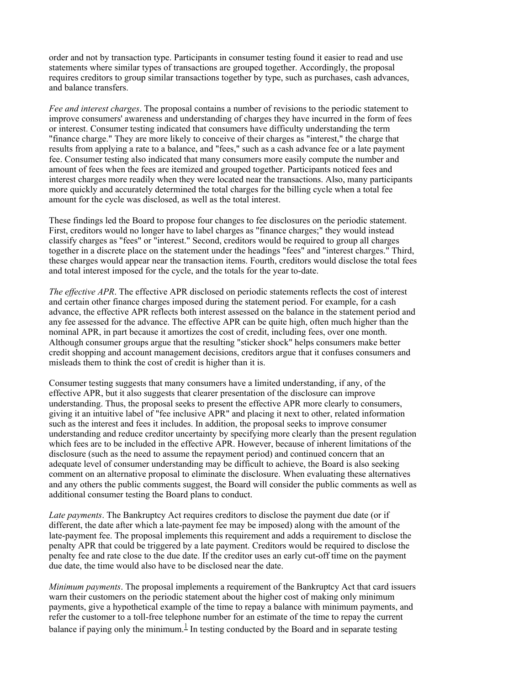order and not by transaction type. Participants in consumer testing found it easier to read and use statements where similar types of transactions are grouped together. Accordingly, the proposal requires creditors to group similar transactions together by type, such as purchases, cash advances, and balance transfers.

*Fee and interest charges*. The proposal contains a number of revisions to the periodic statement to improve consumers' awareness and understanding of charges they have incurred in the form of fees or interest. Consumer testing indicated that consumers have difficulty understanding the term "finance charge." They are more likely to conceive of their charges as "interest," the charge that results from applying a rate to a balance, and "fees," such as a cash advance fee or a late payment fee. Consumer testing also indicated that many consumers more easily compute the number and amount of fees when the fees are itemized and grouped together. Participants noticed fees and interest charges more readily when they were located near the transactions. Also, many participants more quickly and accurately determined the total charges for the billing cycle when a total fee amount for the cycle was disclosed, as well as the total interest.

These findings led the Board to propose four changes to fee disclosures on the periodic statement. First, creditors would no longer have to label charges as "finance charges;" they would instead classify charges as "fees" or "interest." Second, creditors would be required to group all charges together in a discrete place on the statement under the headings "fees" and "interest charges." Third, these charges would appear near the transaction items. Fourth, creditors would disclose the total fees and total interest imposed for the cycle, and the totals for the year to-date.

*The effective APR*. The effective APR disclosed on periodic statements reflects the cost of interest and certain other finance charges imposed during the statement period. For example, for a cash advance, the effective APR reflects both interest assessed on the balance in the statement period and any fee assessed for the advance. The effective APR can be quite high, often much higher than the nominal APR, in part because it amortizes the cost of credit, including fees, over one month. Although consumer groups argue that the resulting "sticker shock" helps consumers make better credit shopping and account management decisions, creditors argue that it confuses consumers and misleads them to think the cost of credit is higher than it is.

Consumer testing suggests that many consumers have a limited understanding, if any, of the effective APR, but it also suggests that clearer presentation of the disclosure can improve understanding. Thus, the proposal seeks to present the effective APR more clearly to consumers, giving it an intuitive label of "fee inclusive APR" and placing it next to other, related information such as the interest and fees it includes. In addition, the proposal seeks to improve consumer understanding and reduce creditor uncertainty by specifying more clearly than the present regulation which fees are to be included in the effective APR. However, because of inherent limitations of the disclosure (such as the need to assume the repayment period) and continued concern that an adequate level of consumer understanding may be difficult to achieve, the Board is also seeking comment on an alternative proposal to eliminate the disclosure. When evaluating these alternatives and any others the public comments suggest, the Board will consider the public comments as well as additional consumer testing the Board plans to conduct.

*Late payments*. The Bankruptcy Act requires creditors to disclose the payment due date (or if different, the date after which a late-payment fee may be imposed) along with the amount of the late-payment fee. The proposal implements this requirement and adds a requirement to disclose the penalty APR that could be triggered by a late payment. Creditors would be required to disclose the penalty fee and rate close to the due date. If the creditor uses an early cut-off time on the payment due date, the time would also have to be disclosed near the date.

*Minimum payments*. The proposal implements a requirement of the Bankruptcy Act that card issuers warn their customers on the periodic statement about the higher cost of making only minimum payments, give a hypothetical example of the time to repay a balance with minimum payments, and refer the customer to a toll-free telephone number for an estimate of the time to repay the current balance if paying only the minimum.<sup>1</sup> In testing conducted by the Board and in separate testing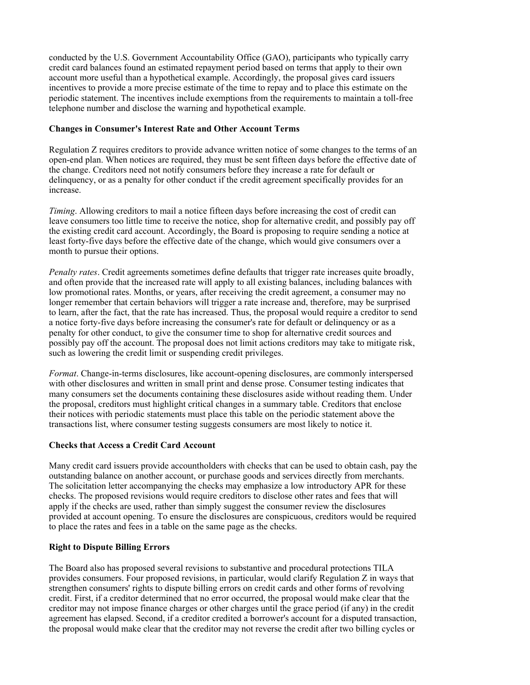conducted by the U.S. Government Accountability Office (GAO), participants who typically carry credit card balances found an estimated repayment period based on terms that apply to their own account more useful than a hypothetical example. Accordingly, the proposal gives card issuers incentives to provide a more precise estimate of the time to repay and to place this estimate on the periodic statement. The incentives include exemptions from the requirements to maintain a toll-free telephone number and disclose the warning and hypothetical example.

## **Changes in Consumer's Interest Rate and Other Account Terms**

Regulation Z requires creditors to provide advance written notice of some changes to the terms of an open-end plan. When notices are required, they must be sent fifteen days before the effective date of the change. Creditors need not notify consumers before they increase a rate for default or delinquency, or as a penalty for other conduct if the credit agreement specifically provides for an increase.

*Timing*. Allowing creditors to mail a notice fifteen days before increasing the cost of credit can leave consumers too little time to receive the notice, shop for alternative credit, and possibly pay off the existing credit card account. Accordingly, the Board is proposing to require sending a notice at least forty-five days before the effective date of the change, which would give consumers over a month to pursue their options.

*Penalty rates*. Credit agreements sometimes define defaults that trigger rate increases quite broadly, and often provide that the increased rate will apply to all existing balances, including balances with low promotional rates. Months, or years, after receiving the credit agreement, a consumer may no longer remember that certain behaviors will trigger a rate increase and, therefore, may be surprised to learn, after the fact, that the rate has increased. Thus, the proposal would require a creditor to send a notice forty-five days before increasing the consumer's rate for default or delinquency or as a penalty for other conduct, to give the consumer time to shop for alternative credit sources and possibly pay off the account. The proposal does not limit actions creditors may take to mitigate risk, such as lowering the credit limit or suspending credit privileges.

*Format*. Change-in-terms disclosures, like account-opening disclosures, are commonly interspersed with other disclosures and written in small print and dense prose. Consumer testing indicates that many consumers set the documents containing these disclosures aside without reading them. Under the proposal, creditors must highlight critical changes in a summary table. Creditors that enclose their notices with periodic statements must place this table on the periodic statement above the transactions list, where consumer testing suggests consumers are most likely to notice it.

# **Checks that Access a Credit Card Account**

Many credit card issuers provide accountholders with checks that can be used to obtain cash, pay the outstanding balance on another account, or purchase goods and services directly from merchants. The solicitation letter accompanying the checks may emphasize a low introductory APR for these checks. The proposed revisions would require creditors to disclose other rates and fees that will apply if the checks are used, rather than simply suggest the consumer review the disclosures provided at account opening. To ensure the disclosures are conspicuous, creditors would be required to place the rates and fees in a table on the same page as the checks.

# **Right to Dispute Billing Errors**

The Board also has proposed several revisions to substantive and procedural protections TILA provides consumers. Four proposed revisions, in particular, would clarify Regulation Z in ways that strengthen consumers' rights to dispute billing errors on credit cards and other forms of revolving credit. First, if a creditor determined that no error occurred, the proposal would make clear that the creditor may not impose finance charges or other charges until the grace period (if any) in the credit agreement has elapsed. Second, if a creditor credited a borrower's account for a disputed transaction, the proposal would make clear that the creditor may not reverse the credit after two billing cycles or